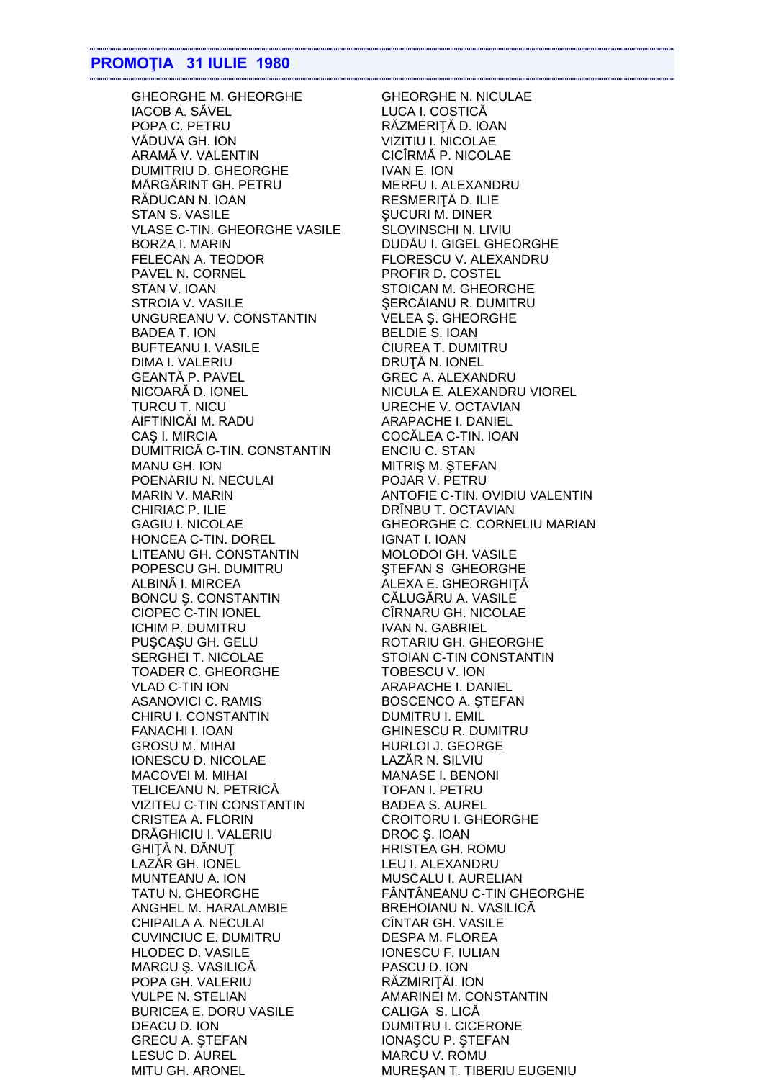## **PROMOŢIA 31 IULIE 1980**

IACOB A. SĂVEL LUCA I. COSTICĂ POPA C. PETRU RĂZMERIȚĂ D. IOAN VĂDUVA GH. ION VIZITIU I. NICOLAE ARAMĂ V. VALENTIN CICÎRMĂ P. NICOLAE DUMITRIU D. GHEORGHE IVAN E. ION MĂRGĂRINT GH. PETRU MERFU I. ALEXANDRU RĂDUCAN N. IOAN RESMERIȚĂ D. ILIE STAN S. VASILE STAN SUCURI M. DINER VLASE C-TIN. GHEORGHE VASILE SLOVINSCHI N. LIVIU BORZA I. MARIN DUDĂU I. GIGEL GHEORGHE FELECAN A. TEODOR FLORESCU V. ALEXANDRU PAVEL N. CORNEL PROFIR D. COSTEL STAN V. IOAN STOICAN M. GHEORGHE STROIA V. VASILE SERCĂIANU R. DUMITRU UNGUREANU V. CONSTANTIN VELEA Ş. GHEORGHE BADEA T. ION BELDIE S. IOAN BUFTEANU I. VASILE CIUREA T. DUMITRU DIMA I. VALERIU DRUŢĂ N. IONEL GEANTĂ P. PAVEL GREC A. ALEXANDRU NICOARĂ D. IONEL NICULA E. ALEXANDRU VIOREL TURCU T. NICU URECHE V. OCTAVIAN AIFTINICĂI M. RADU ARAPACHE I. DANIEL CAȘ I. MIRCIA COCĂLEA C-TIN. IOAN DUMITRICĂ C-TIN. CONSTANTIN ENCIU C. STAN MANU GH. ION MITRIŞ M. ŞTEFAN POENARIU N. NECULAI POJAR V. PETRU CHIRIAC P. ILIE DRÎNBU T. OCTAVIAN HONCEA C-TIN. DOREL IGNAT I. IOAN LITEANU GH. CONSTANTIN MOLODOI GH. VASILE POPESCU GH. DUMITRU STEFAN S GHEORGHE ALBINĂ I. MIRCEA ALEXA E. GHEORGHIȚĂ BONCU Ş. CONSTANTIN CĂLUGĂRU A. VASILE CIOPEC C-TIN IONEL CÎRNARU GH. NICOLAE ICHIM P. DUMITRU IVAN N. GABRIEL PUŞCAŞU GH. GELU ROTARIU GH. GHEORGHE SERGHEI T. NICOLAE STOIAN C-TIN CONSTANTIN TOADER C. GHEORGHE TOBESCU V. ION VLAD C-TIN ION ARAPACHE I. DANIEL ASANOVICI C. RAMIS BOSCENCO A. STEFAN CHIRU I. CONSTANTIN DUMITRU I. EMIL FANACHI I. IOAN GHINESCU R. DUMITRU GROSU M. MIHAI **HURLOI J. GEORGE** IONESCU D. NICOLAE LAZĂR N. SILVIU MACOVEI M. MIHAI MANASE I. BENONI TELICEANU N. PETRICĂ TOFAN I. PETRU VIZITEU C-TIN CONSTANTIN BADEA S. AUREL CRISTEA A. FLORIN CROITORU I. GHEORGHE DRĂGHICIU I. VALERIU DROC Ș. IOAN GHITĂ N. DĂNUT HRISTEA GH. ROMU LAZĂR GH. IONEL LEU I. ALEXANDRU MUNTEANU A. ION MUSCALU I. AURELIAN TATU N. GHEORGHE FÂNTÂNEANU C-TIN GHEORGHE ANGHEL M. HARALAMBIE BREHOIANU N. VASILICĂ CHIPAILA A. NECULAI CÎNTAR GH. VASILE CUVINCIUC E. DUMITRU DESPA M. FLOREA HLODEC D. VASILE IONESCU F. IULIAN MARCU Ş. VASILICĂ PASCU D. ION POPA GH. VALERIU RĂZMIRIŢĂI. ION VULPE N. STELIAN AMARINEI M. CONSTANTIN BURICEA E. DORU VASILE CALIGA S. LICĂ DEACU D. ION DUMITRU I. CICERONE GRECU A. ŞTEFAN IONAŞCU P. ŞTEFAN LESUC D. AUREL MARCU V. ROMU MITU GH. ARONEL MUREŞAN T. TIBERIU EUGENIU

GHEORGHE M. GHEORGHE GHEORGHE N. NICULAE MARIN V. MARIN ANTOFIE C-TIN. OVIDIU VALENTIN GAGIU I. NICOLAE GHEORGHE C. CORNELIU MARIAN